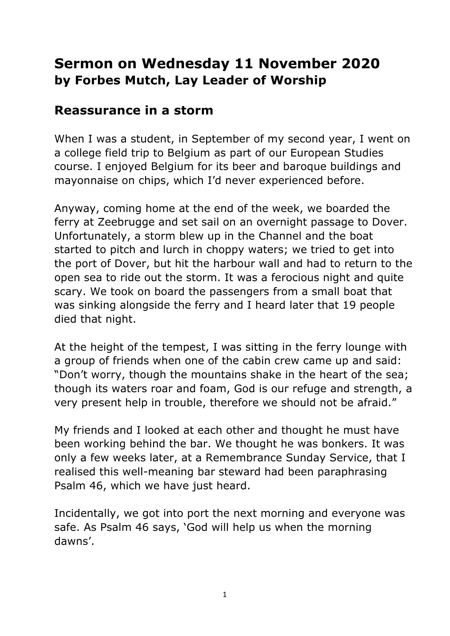## **Sermon on Wednesday 11 November 2020 by Forbes Mutch, Lay Leader of Worship**

## **Reassurance in a storm**

When I was a student, in September of my second year, I went on a college field trip to Belgium as part of our European Studies course. I enjoyed Belgium for its beer and baroque buildings and mayonnaise on chips, which I'd never experienced before.

Anyway, coming home at the end of the week, we boarded the ferry at Zeebrugge and set sail on an overnight passage to Dover. Unfortunately, a storm blew up in the Channel and the boat started to pitch and lurch in choppy waters; we tried to get into the port of Dover, but hit the harbour wall and had to return to the open sea to ride out the storm. It was a ferocious night and quite scary. We took on board the passengers from a small boat that was sinking alongside the ferry and I heard later that 19 people died that night.

At the height of the tempest, I was sitting in the ferry lounge with a group of friends when one of the cabin crew came up and said: "Don't worry, though the mountains shake in the heart of the sea; though its waters roar and foam, God is our refuge and strength, a very present help in trouble, therefore we should not be afraid."

My friends and I looked at each other and thought he must have been working behind the bar. We thought he was bonkers. It was only a few weeks later, at a Remembrance Sunday Service, that I realised this well-meaning bar steward had been paraphrasing Psalm 46, which we have just heard.

Incidentally, we got into port the next morning and everyone was safe. As Psalm 46 says, 'God will help us when the morning dawns'.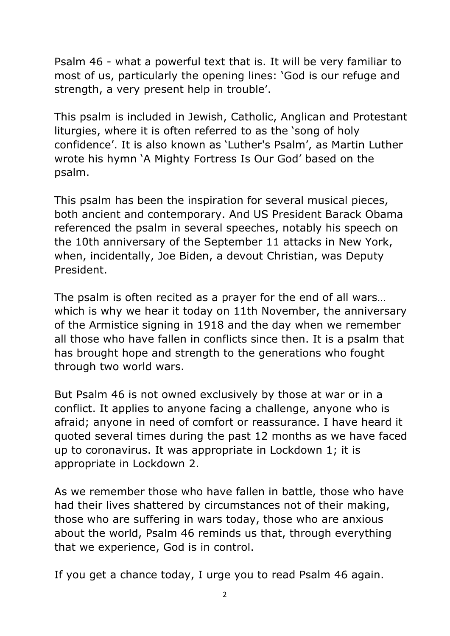Psalm 46 - what a powerful text that is. It will be very familiar to most of us, particularly the opening lines: 'God is our refuge and strength, a very present help in trouble'.

This psalm is included in Jewish, Catholic, Anglican and Protestant liturgies, where it is often referred to as the 'song of holy confidence'. It is also known as 'Luther's Psalm', as Martin Luther wrote his hymn 'A Mighty Fortress Is Our God' based on the psalm.

This psalm has been the inspiration for several musical pieces, both ancient and contemporary. And US President Barack Obama referenced the psalm in several speeches, notably his speech on the 10th anniversary of the September 11 attacks in New York, when, incidentally, Joe Biden, a devout Christian, was Deputy President.

The psalm is often recited as a prayer for the end of all wars… which is why we hear it today on 11th November, the anniversary of the Armistice signing in 1918 and the day when we remember all those who have fallen in conflicts since then. It is a psalm that has brought hope and strength to the generations who fought through two world wars.

But Psalm 46 is not owned exclusively by those at war or in a conflict. It applies to anyone facing a challenge, anyone who is afraid; anyone in need of comfort or reassurance. I have heard it quoted several times during the past 12 months as we have faced up to coronavirus. It was appropriate in Lockdown 1; it is appropriate in Lockdown 2.

As we remember those who have fallen in battle, those who have had their lives shattered by circumstances not of their making, those who are suffering in wars today, those who are anxious about the world, Psalm 46 reminds us that, through everything that we experience, God is in control.

If you get a chance today, I urge you to read Psalm 46 again.